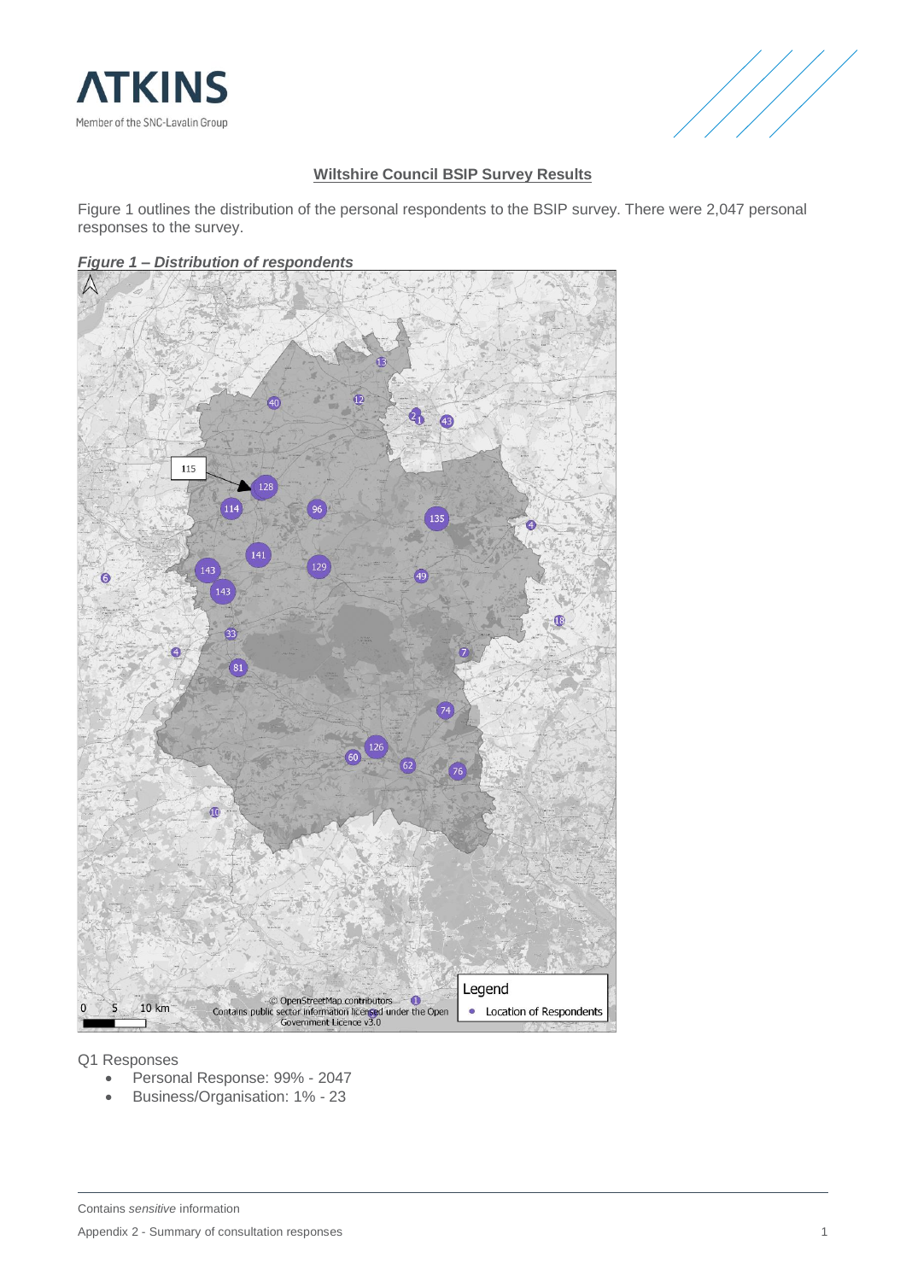



## **Wiltshire Council BSIP Survey Results**

Figure 1 outlines the distribution of the personal respondents to the BSIP survey. There were 2,047 personal responses to the survey.

## *Figure 1 – Distribution of respondents*



#### Q1 Responses

- Personal Response: 99% 2047
- Business/Organisation: 1% 23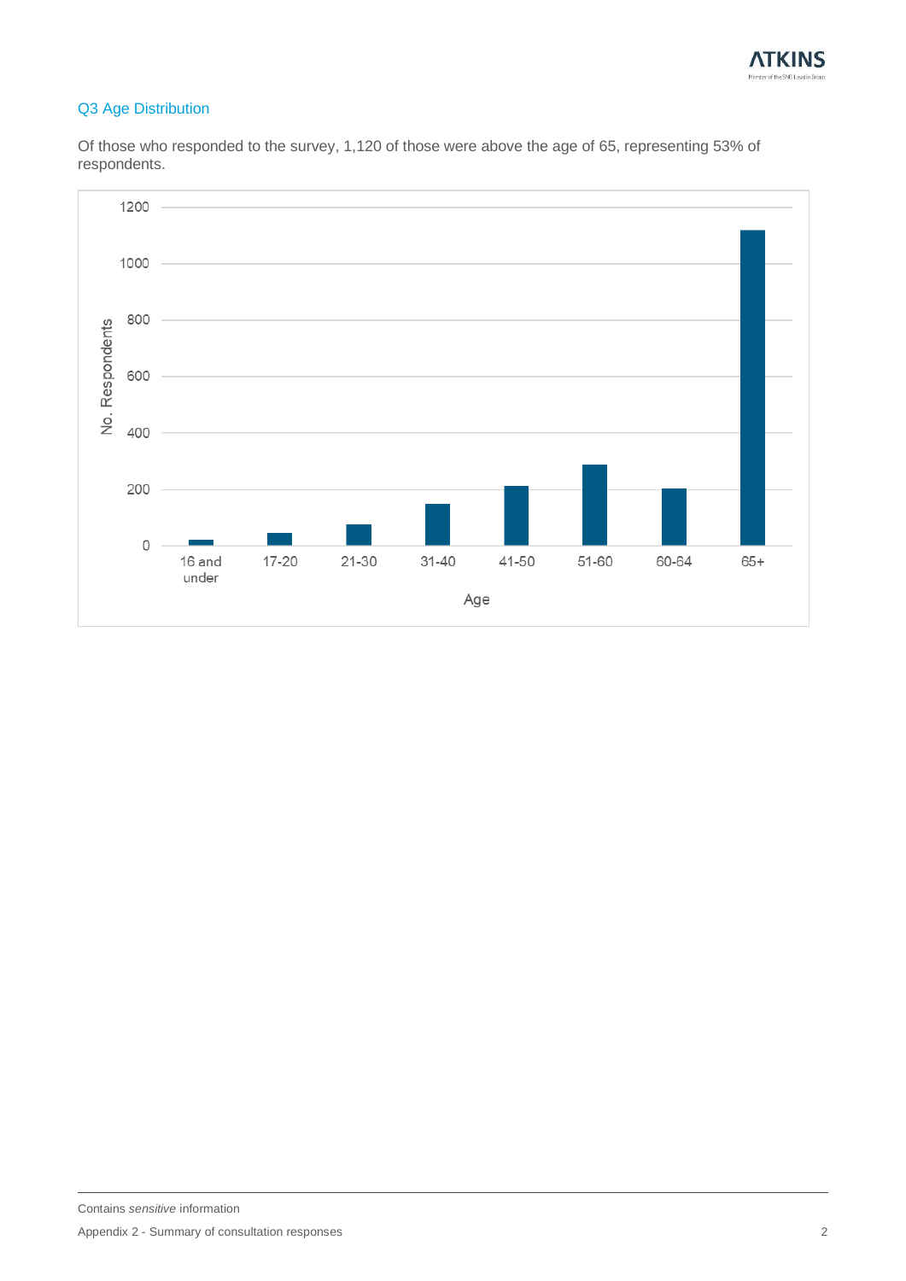

# Q3 Age Distribution

Of those who responded to the survey, 1,120 of those were above the age of 65, representing 53% of respondents.

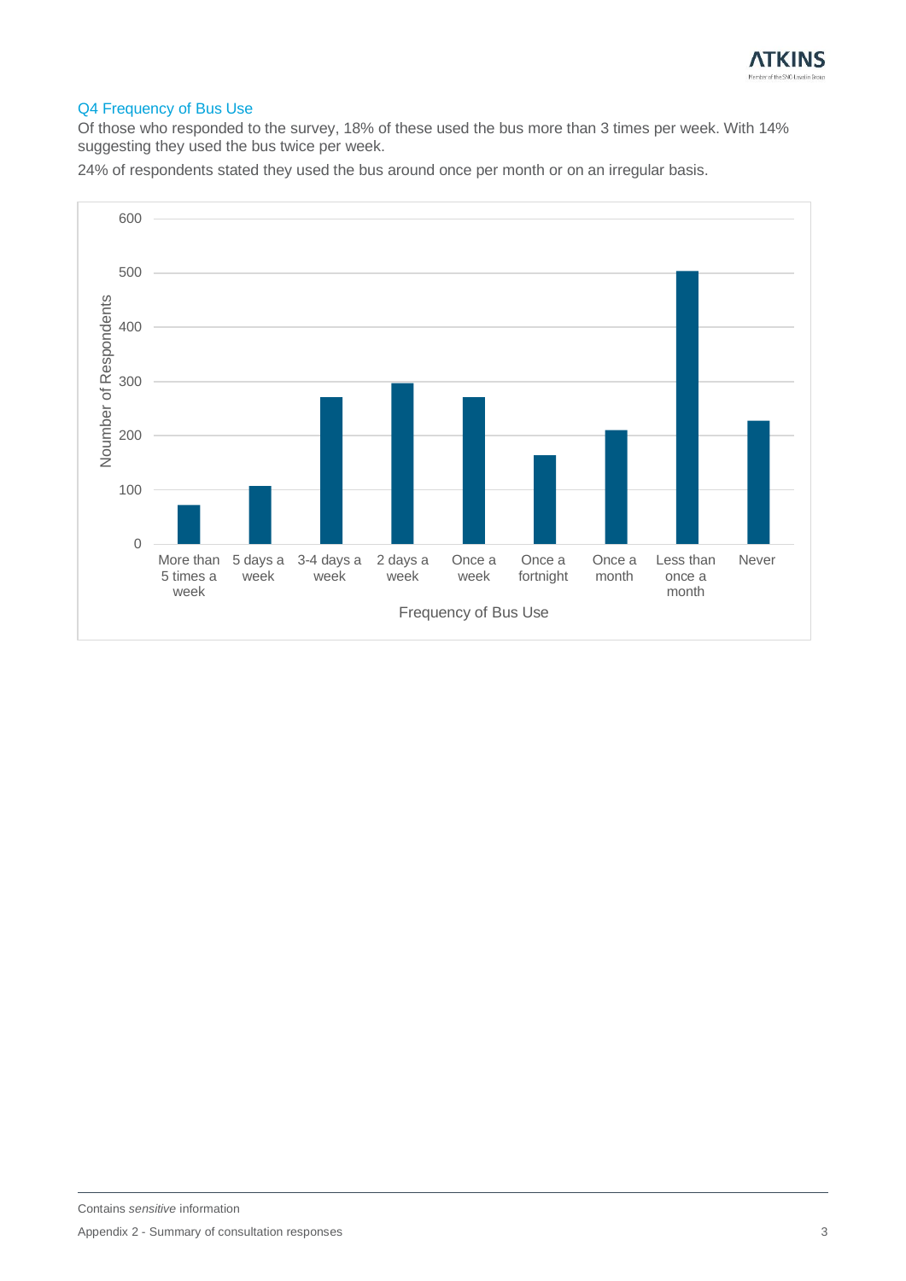

# Q4 Frequency of Bus Use

Of those who responded to the survey, 18% of these used the bus more than 3 times per week. With 14% suggesting they used the bus twice per week.

24% of respondents stated they used the bus around once per month or on an irregular basis.

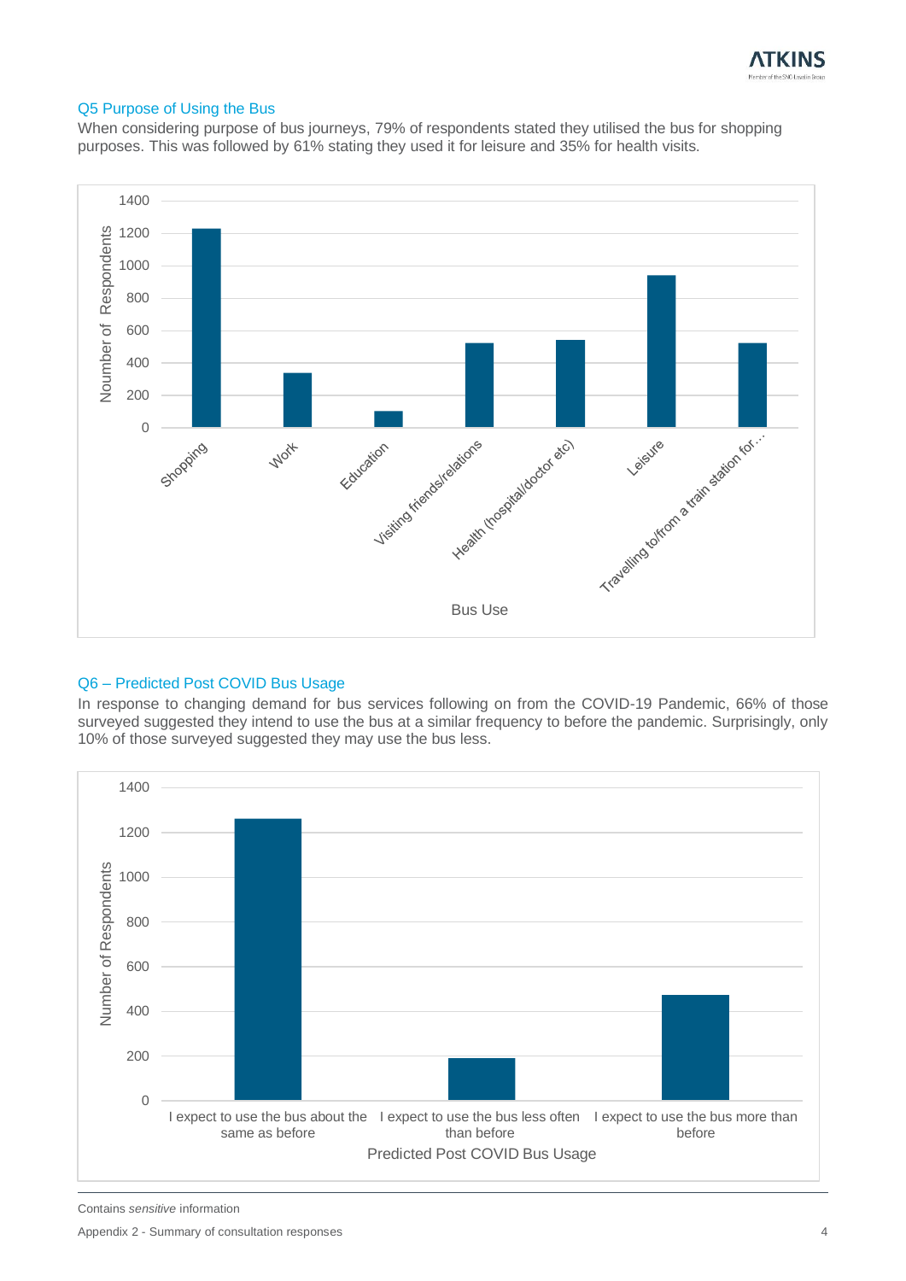

#### Q5 Purpose of Using the Bus

When considering purpose of bus journeys, 79% of respondents stated they utilised the bus for shopping purposes. This was followed by 61% stating they used it for leisure and 35% for health visits.



### Q6 – Predicted Post COVID Bus Usage

In response to changing demand for bus services following on from the COVID-19 Pandemic, 66% of those surveyed suggested they intend to use the bus at a similar frequency to before the pandemic. Surprisingly, only 10% of those surveyed suggested they may use the bus less.



Contains *sensitive* information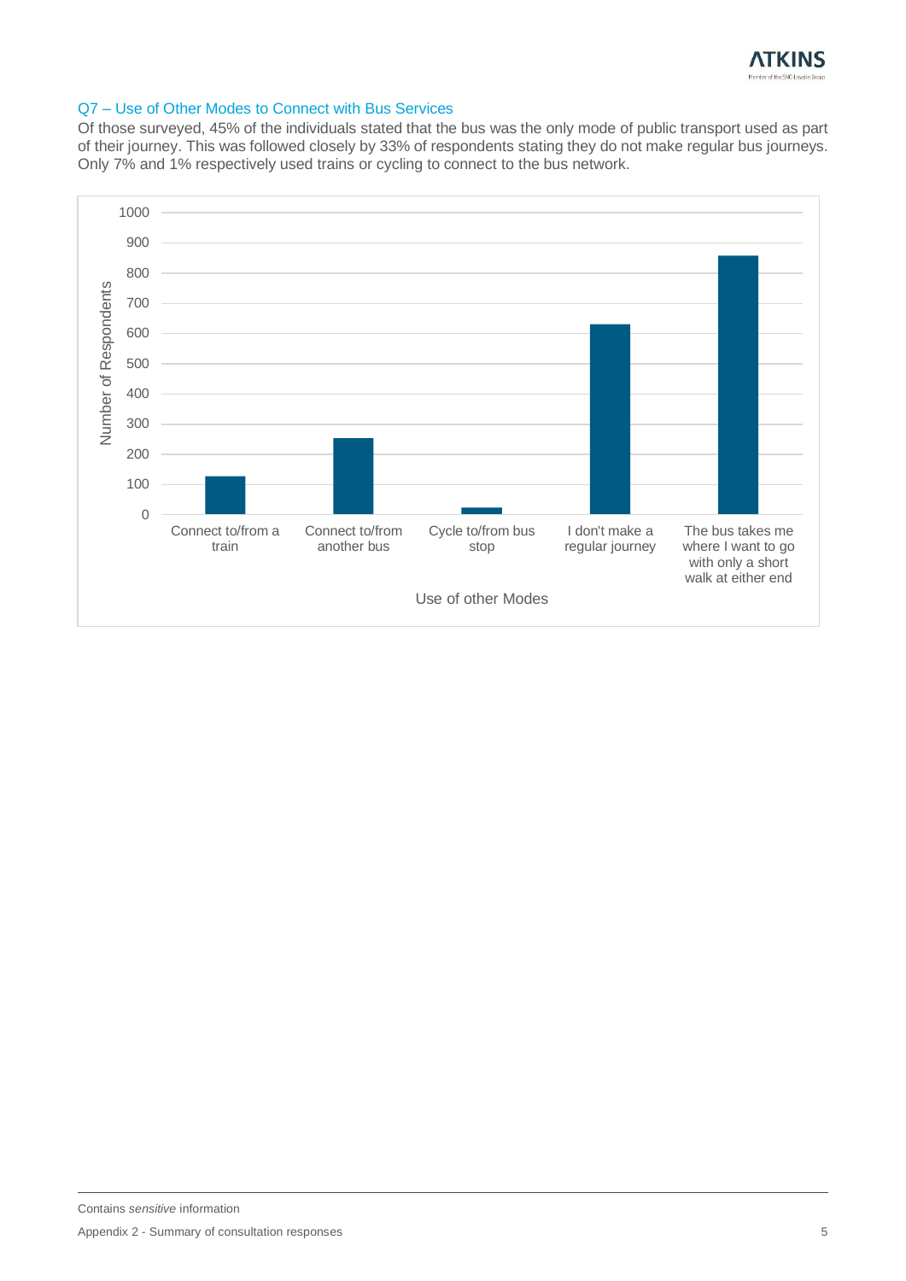

#### Q7 – Use of Other Modes to Connect with Bus Services

Of those surveyed, 45% of the individuals stated that the bus was the only mode of public transport used as part of their journey. This was followed closely by 33% of respondents stating they do not make regular bus journeys. Only 7% and 1% respectively used trains or cycling to connect to the bus network.

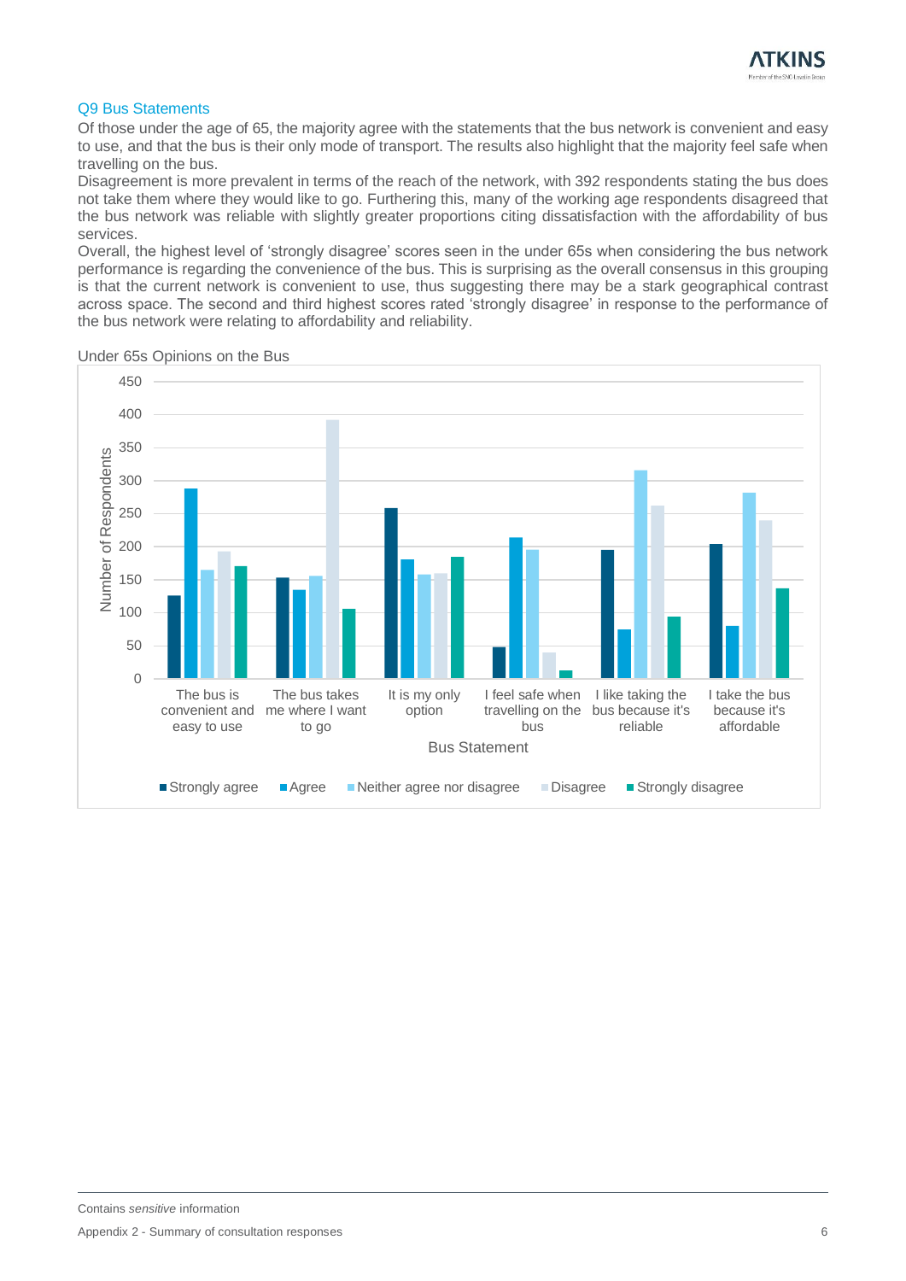#### Q9 Bus Statements

Of those under the age of 65, the majority agree with the statements that the bus network is convenient and easy to use, and that the bus is their only mode of transport. The results also highlight that the majority feel safe when travelling on the bus.

Disagreement is more prevalent in terms of the reach of the network, with 392 respondents stating the bus does not take them where they would like to go. Furthering this, many of the working age respondents disagreed that the bus network was reliable with slightly greater proportions citing dissatisfaction with the affordability of bus services.

Overall, the highest level of 'strongly disagree' scores seen in the under 65s when considering the bus network performance is regarding the convenience of the bus. This is surprising as the overall consensus in this grouping is that the current network is convenient to use, thus suggesting there may be a stark geographical contrast across space. The second and third highest scores rated 'strongly disagree' in response to the performance of the bus network were relating to affordability and reliability.



Under 65s Opinions on the Bus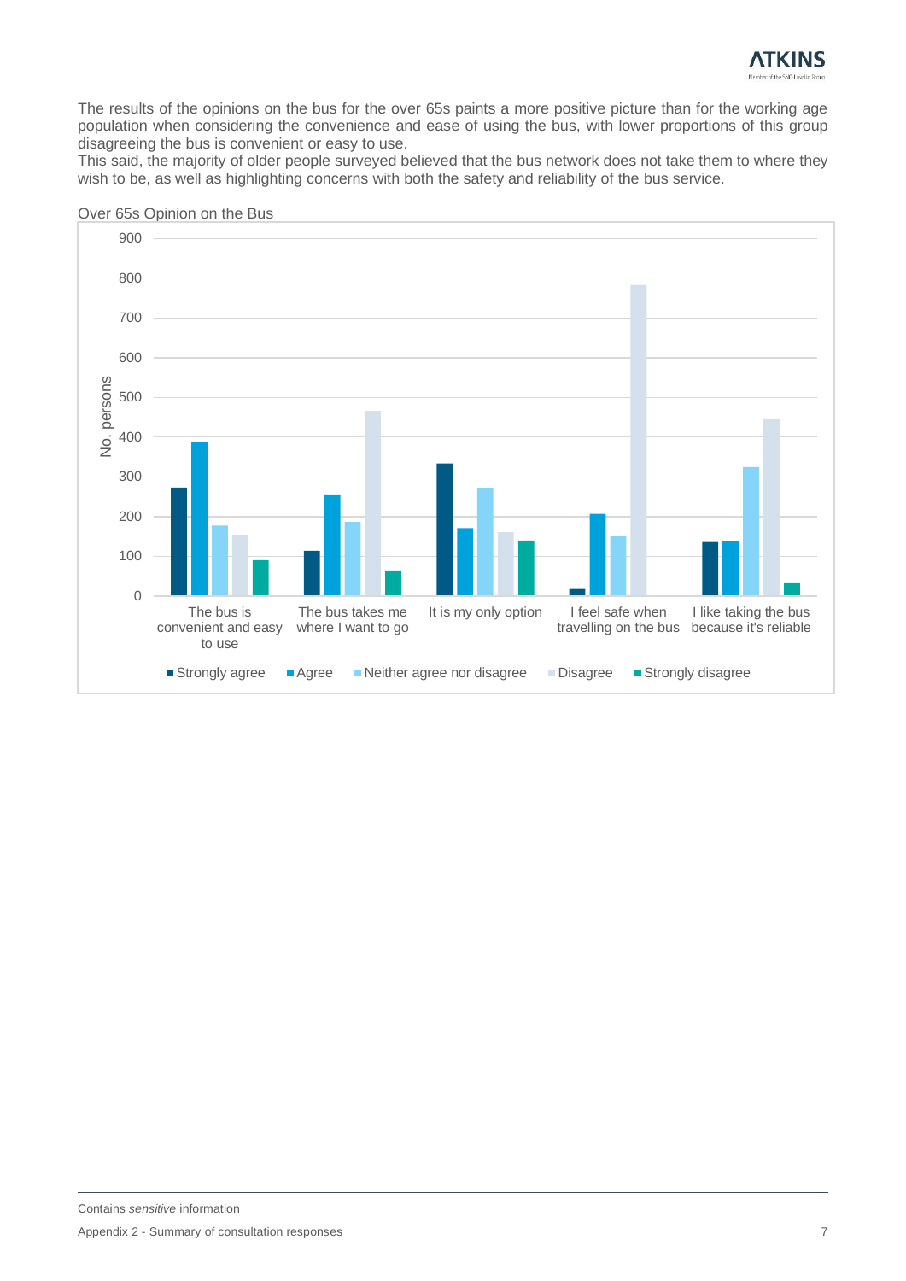

The results of the opinions on the bus for the over 65s paints a more positive picture than for the working age population when considering the convenience and ease of using the bus, with lower proportions of this group disagreeing the bus is convenient or easy to use.

This said, the majority of older people surveyed believed that the bus network does not take them to where they wish to be, as well as highlighting concerns with both the safety and reliability of the bus service.



Over 65s Opinion on the Bus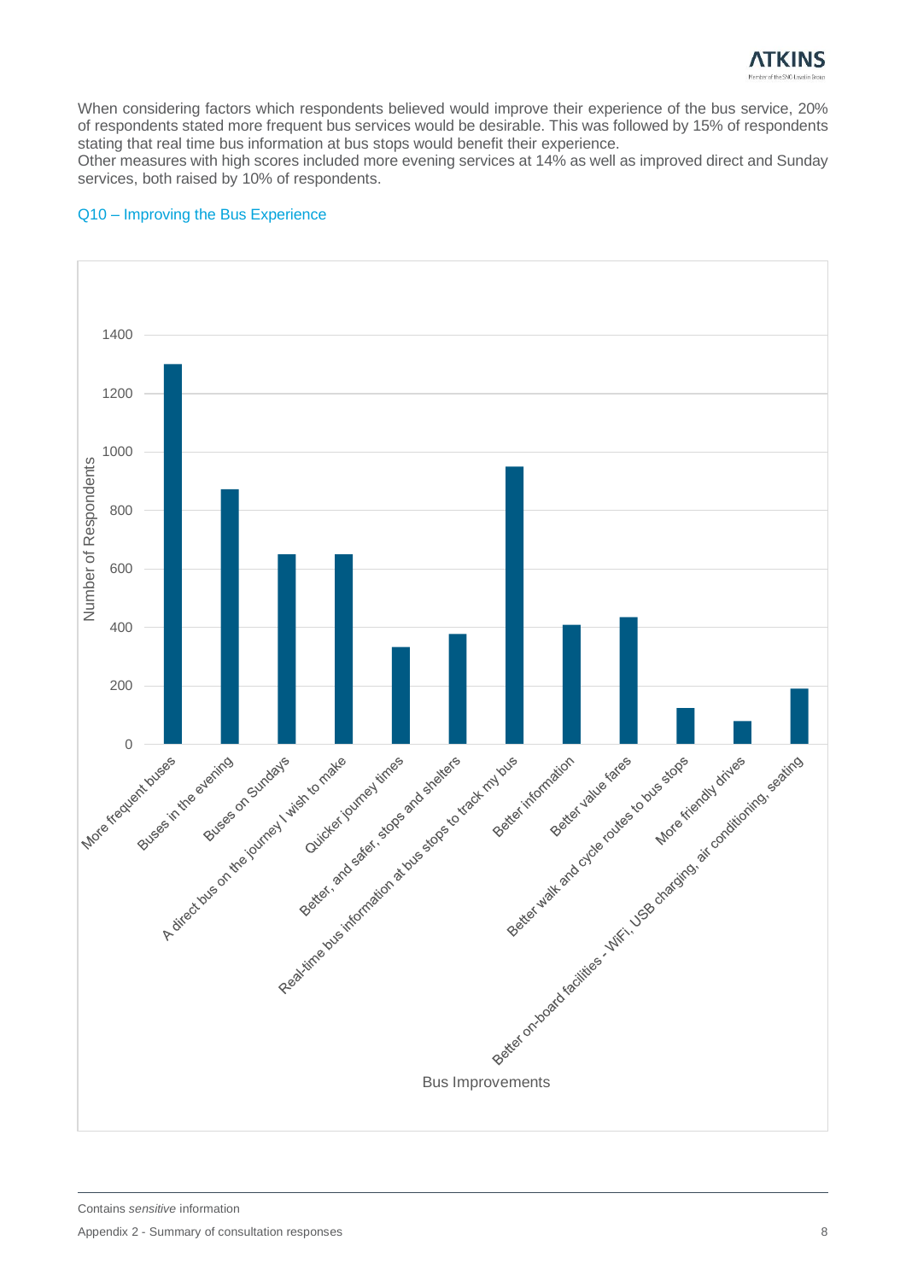

When considering factors which respondents believed would improve their experience of the bus service, 20% of respondents stated more frequent bus services would be desirable. This was followed by 15% of respondents stating that real time bus information at bus stops would benefit their experience.

Other measures with high scores included more evening services at 14% as well as improved direct and Sunday services, both raised by 10% of respondents.

# 1400 1200 1000 **Number of Respondents** Number of Respondents 800 600 400 200 Bus Improvements Reputation of the first redistribution of the store of order of the store of the store of the store of the store of the store of the store of the store of the store of the store of the store of the store of the store of th Better, architectural dr. actors and steres A citre of the evening of the parties in the line of the control of the control of the control of the control of the control of the control of the control of the control of the control of the control of the control of the More request by the evening

#### Q10 – Improving the Bus Experience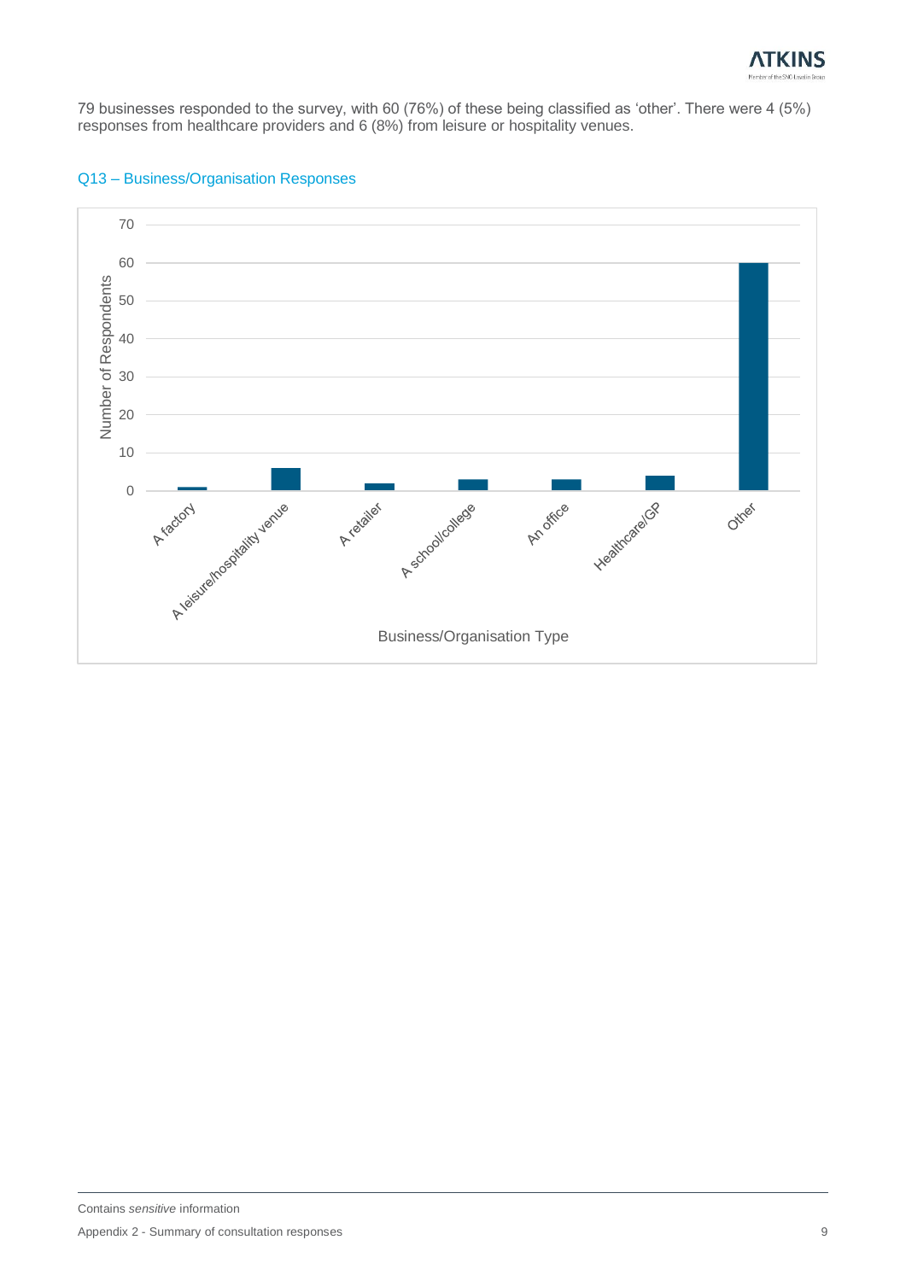

79 businesses responded to the survey, with 60 (76%) of these being classified as 'other'. There were 4 (5%) responses from healthcare providers and 6 (8%) from leisure or hospitality venues.



#### Q13 – Business/Organisation Responses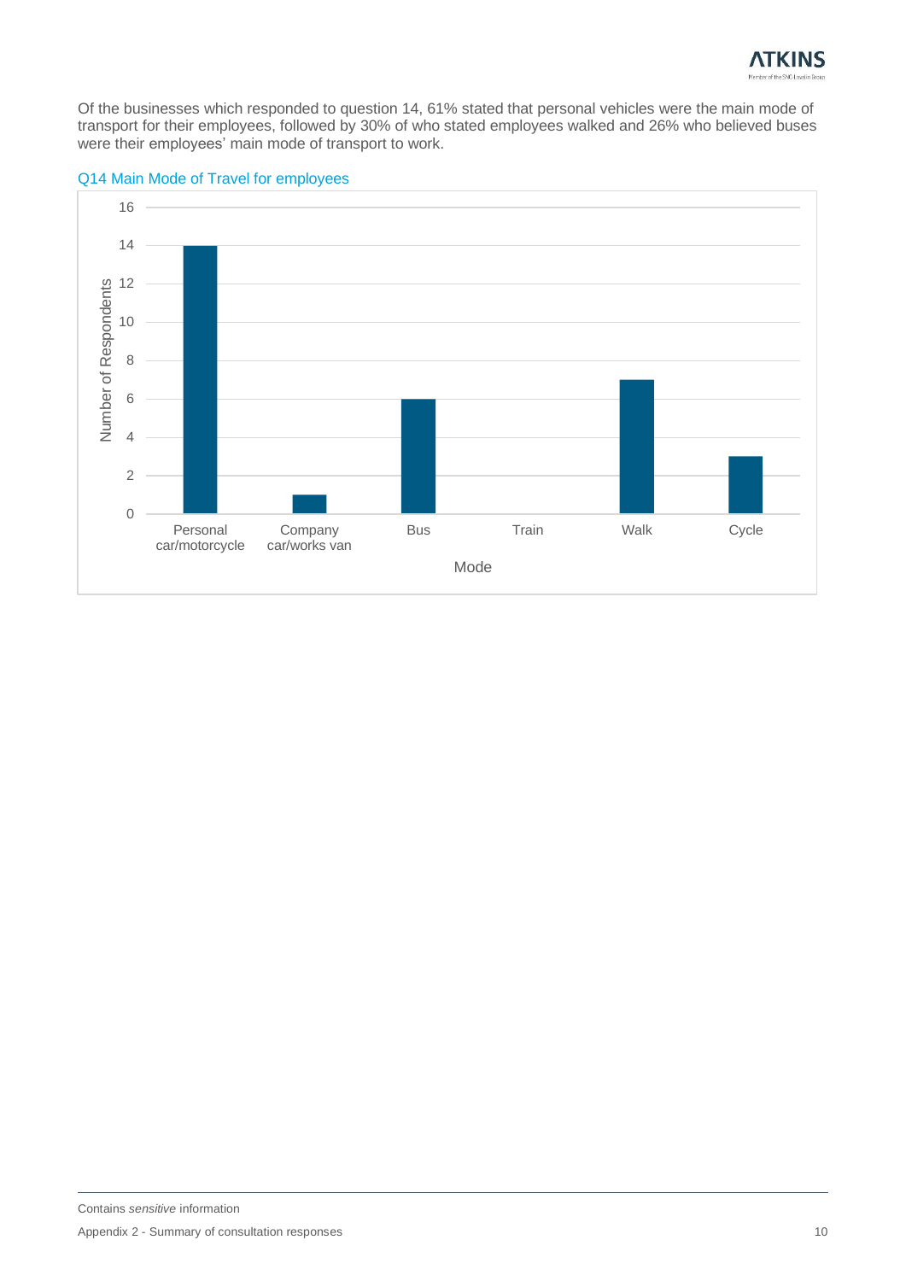

Of the businesses which responded to question 14, 61% stated that personal vehicles were the main mode of transport for their employees, followed by 30% of who stated employees walked and 26% who believed buses were their employees' main mode of transport to work.



#### Q14 Main Mode of Travel for employees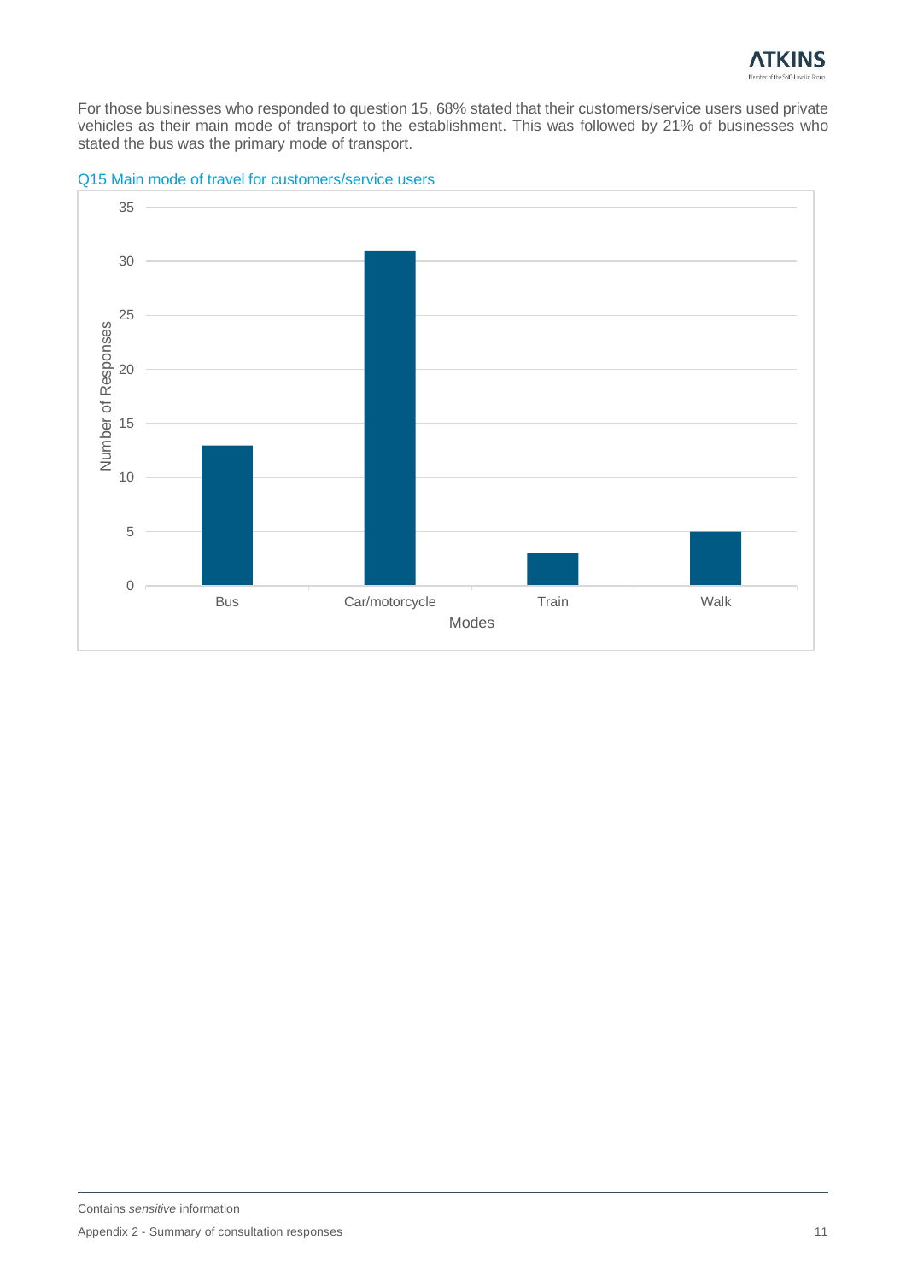

For those businesses who responded to question 15, 68% stated that their customers/service users used private vehicles as their main mode of transport to the establishment. This was followed by 21% of businesses who stated the bus was the primary mode of transport.



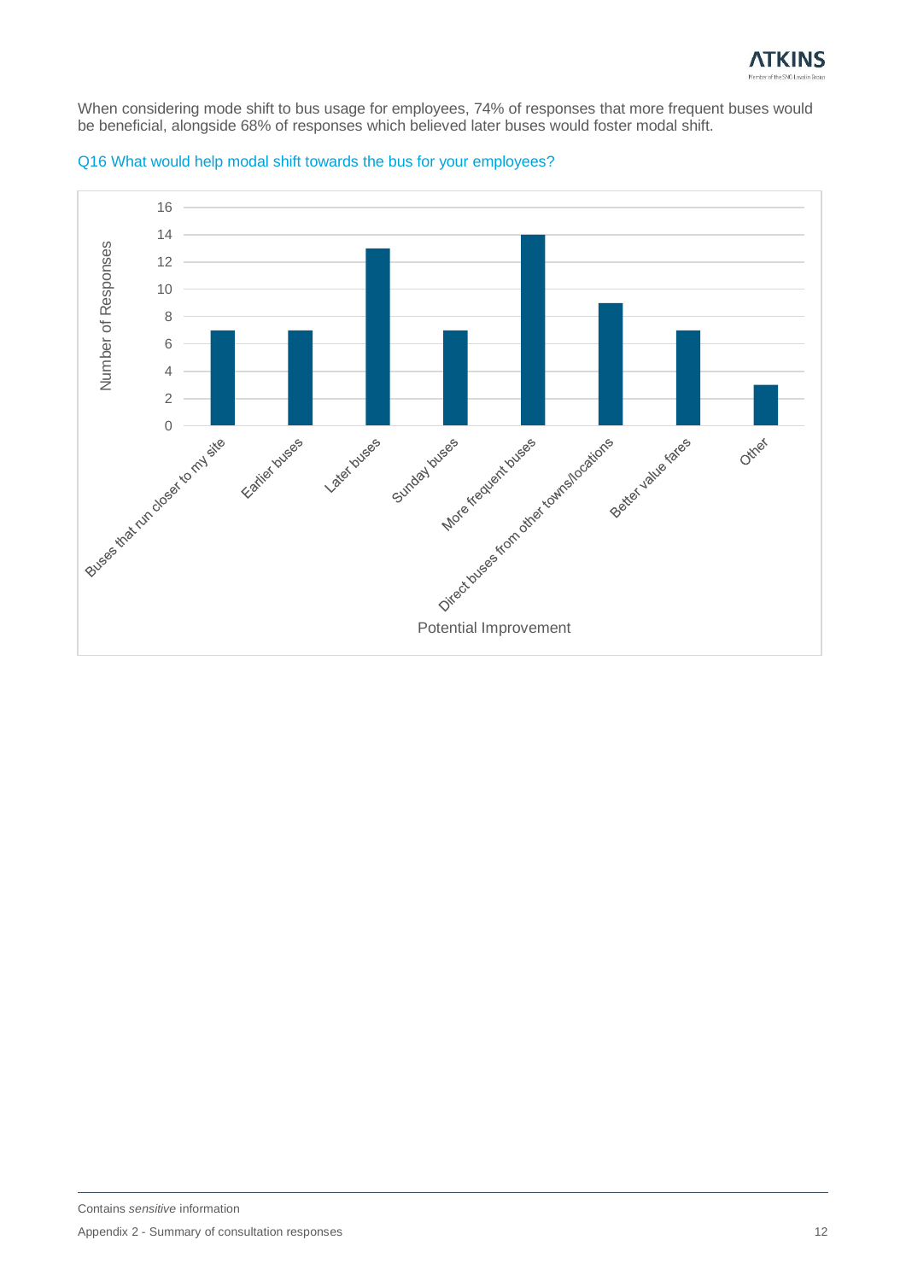

When considering mode shift to bus usage for employees, 74% of responses that more frequent buses would be beneficial, alongside 68% of responses which believed later buses would foster modal shift.



#### Q16 What would help modal shift towards the bus for your employees?